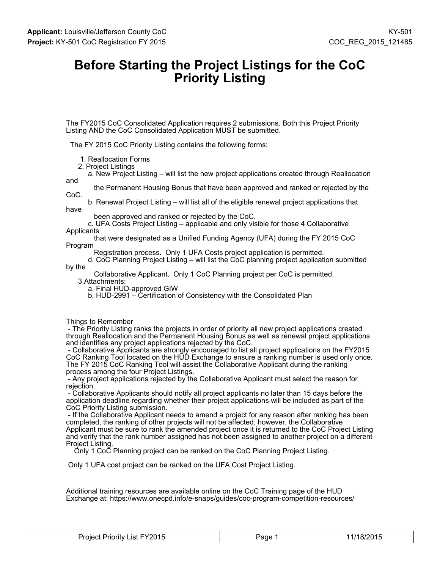### **Before Starting the Project Listings for the CoC Priority Listing**

The FY2015 CoC Consolidated Application requires 2 submissions. Both this Project Priority Listing AND the CoC Consolidated Application MUST be submitted.

The FY 2015 CoC Priority Listing contains the following forms:

- 1. Reallocation Forms
- 2. Project Listings

a. New Project Listing – will list the new project applications created through Reallocation and

the Permanent Housing Bonus that have been approved and ranked or rejected by the CoC.

b. Renewal Project Listing – will list all of the eligible renewal project applications that have

been approved and ranked or rejected by the CoC.

c. UFA Costs Project Listing – applicable and only visible for those 4 Collaborative **Applicants** 

that were designated as a Unified Funding Agency (UFA) during the FY 2015 CoC Program

Registration process. Only 1 UFA Costs project application is permitted.

d. CoC Planning Project Listing – will list the CoC planning project application submitted by the

Collaborative Applicant. Only 1 CoC Planning project per CoC is permitted.

3.Attachments:

a. Final HUD-approved GIW

b. HUD-2991 – Certification of Consistency with the Consolidated Plan

Things to Remember

 - The Priority Listing ranks the projects in order of priority all new project applications created through Reallocation and the Permanent Housing Bonus as well as renewal project applications and identifies any project applications rejected by the CoC.

 - Collaborative Applicants are strongly encouraged to list all project applications on the FY2015 CoC Ranking Tool located on the HUD Exchange to ensure a ranking number is used only once. The FY 2015 CoC Ranking Tool will assist the Collaborative Applicant during the ranking process among the four Project Listings.

 - Any project applications rejected by the Collaborative Applicant must select the reason for rejection.

 - Collaborative Applicants should notify all project applicants no later than 15 days before the application deadline regarding whether their project applications will be included as part of the CoC Priority Listing submission.

 - If the Collaborative Applicant needs to amend a project for any reason after ranking has been completed, the ranking of other projects will not be affected; however, the Collaborative Applicant must be sure to rank the amended project once it is returned to the CoC Project Listing and verify that the rank number assigned has not been assigned to another project on a different Project Listing.

Only 1 CoC Planning project can be ranked on the CoC Planning Project Listing.

Only 1 UFA cost project can be ranked on the UFA Cost Project Listing.

Additional training resources are available online on the CoC Training page of the HUD Exchange at: https://www.onecpd.info/e-snaps/guides/coc-program-competition-resources/

| <b>Project Priority List FY2015</b> | Page 1 | 11/18/2015 |
|-------------------------------------|--------|------------|
|-------------------------------------|--------|------------|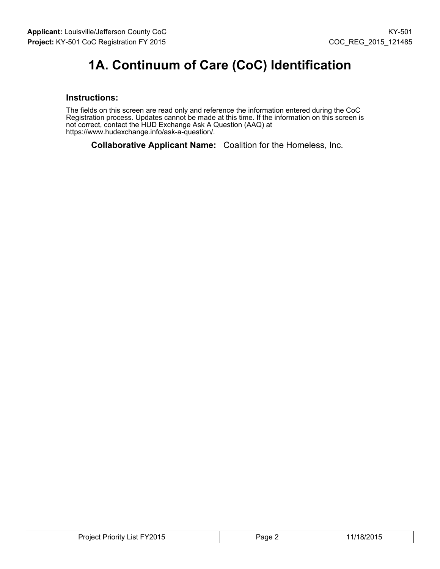### **1A. Continuum of Care (CoC) Identification**

#### **Instructions:**

The fields on this screen are read only and reference the information entered during the CoC Registration process. Updates cannot be made at this time. If the information on this screen is not correct, contact the HUD Exchange Ask A Question (AAQ) at https://www.hudexchange.info/ask-a-question/.

**Collaborative Applicant Name:** Coalition for the Homeless, Inc.

| List FY2015<br><b>Project Priority L</b> | ''aqe ∡ | 18/2015<br>_____ |
|------------------------------------------|---------|------------------|
|------------------------------------------|---------|------------------|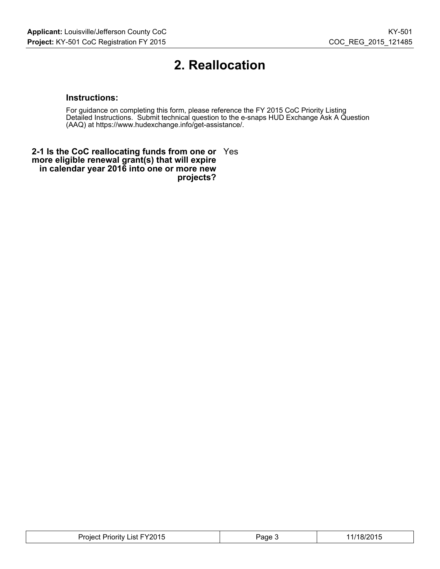### **2. Reallocation**

#### **Instructions:**

For guidance on completing this form, please reference the FY 2015 CoC Priority Listing Detailed Instructions. Submit technical question to the e-snaps HUD Exchange Ask A Question (AAQ) at https://www.hudexchange.info/get-assistance/.

**2-1 Is the CoC reallocating funds from one or** Yes **more eligible renewal grant(s) that will expire in calendar year 2016 into one or more new projects?**

| ______ | _ıst<br>. .<br>.<br>$\cdot$<br>. . | ⊇ane |  |
|--------|------------------------------------|------|--|
|--------|------------------------------------|------|--|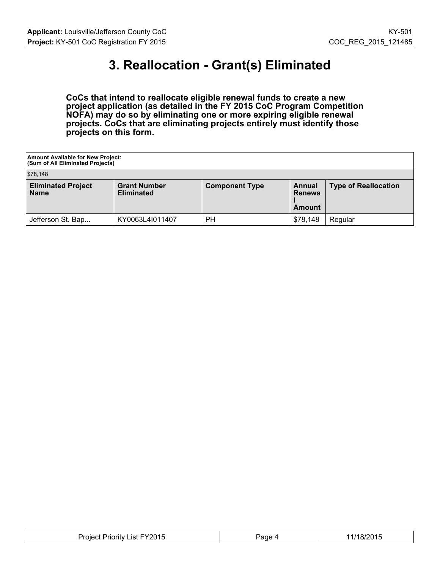### **3. Reallocation - Grant(s) Eliminated**

**CoCs that intend to reallocate eligible renewal funds to create a new project application (as detailed in the FY 2015 CoC Program Competition NOFA) may do so by eliminating one or more expiring eligible renewal projects. CoCs that are eliminating projects entirely must identify those projects on this form.**

| Amount Available for New Project:<br><b>(Sum of All Eliminated Projects)</b> |                                          |                       |                                   |                             |
|------------------------------------------------------------------------------|------------------------------------------|-----------------------|-----------------------------------|-----------------------------|
| \$78.148                                                                     |                                          |                       |                                   |                             |
| <b>Eliminated Project</b><br><b>Name</b>                                     | <b>Grant Number</b><br><b>Eliminated</b> | <b>Component Type</b> | Annual<br><b>Renewa</b><br>Amount | <b>Type of Reallocation</b> |
| Jefferson St. Bap                                                            | KY0063L4I011407                          | PН                    | \$78,148                          | Regular                     |

| Project Priority List FY2015 | Page 4 | 11/18/2015 |
|------------------------------|--------|------------|
|------------------------------|--------|------------|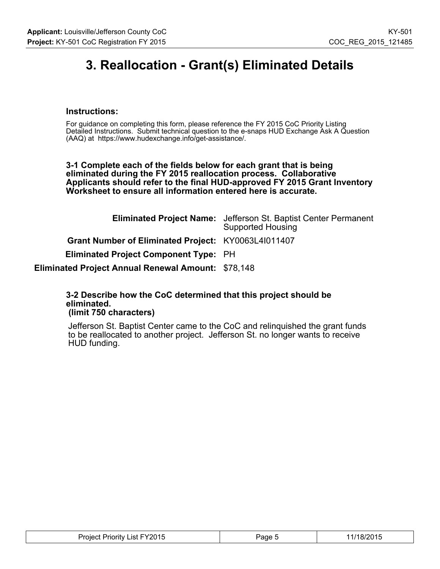### **3. Reallocation - Grant(s) Eliminated Details**

### **Instructions:**

For guidance on completing this form, please reference the FY 2015 CoC Priority Listing Detailed Instructions. Submit technical question to the e-snaps HUD Exchange Ask A Question (AAQ) at https://www.hudexchange.info/get-assistance/.

**3-1 Complete each of the fields below for each grant that is being eliminated during the FY 2015 reallocation process. Collaborative Applicants should refer to the final HUD-approved FY 2015 Grant Inventory Worksheet to ensure all information entered here is accurate.**

|                                                           | Eliminated Project Name: Jefferson St. Baptist Center Permanent<br><b>Supported Housing</b> |
|-----------------------------------------------------------|---------------------------------------------------------------------------------------------|
| Grant Number of Eliminated Project: KY0063L4l011407       |                                                                                             |
| <b>Eliminated Project Component Type: PH</b>              |                                                                                             |
| <b>Eliminated Project Annual Renewal Amount: \$78,148</b> |                                                                                             |

#### **3-2 Describe how the CoC determined that this project should be eliminated. (limit 750 characters)**

Jefferson St. Baptist Center came to the CoC and relinquished the grant funds to be reallocated to another project. Jefferson St. no longer wants to receive HUD funding.

| Project Priority List FY2015 | Page 5 | 11/18/2015 |
|------------------------------|--------|------------|
|------------------------------|--------|------------|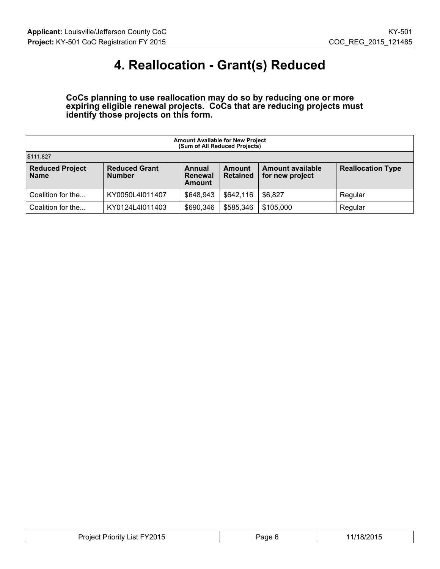### **4. Reallocation - Grant(s) Reduced**

#### **CoCs planning to use reallocation may do so by reducing one or more expiring eligible renewal projects. CoCs that are reducing projects must identify those projects on this form.**

| <b>Amount Available for New Project</b><br>(Sum of All Reduced Projects) |                                       |                                    |                           |                                            |                          |
|--------------------------------------------------------------------------|---------------------------------------|------------------------------------|---------------------------|--------------------------------------------|--------------------------|
| \$111.827                                                                |                                       |                                    |                           |                                            |                          |
| <b>Reduced Project</b><br><b>Name</b>                                    | <b>Reduced Grant</b><br><b>Number</b> | Annual<br><b>Renewal</b><br>Amount | Amount<br><b>Retained</b> | <b>Amount available</b><br>for new project | <b>Reallocation Type</b> |
| Coalition for the                                                        | KY0050L4I011407                       | \$648,943                          | \$642,116                 | \$6,827                                    | Regular                  |
| Coalition for the                                                        | KY0124L4I011403                       | \$690,346                          | \$585,346                 | \$105,000                                  | Regular                  |

| Y2015 <sup>-</sup><br>_ıst.<br>Project<br>Priority. | Page | ,,<br>ו מח |
|-----------------------------------------------------|------|------------|
|-----------------------------------------------------|------|------------|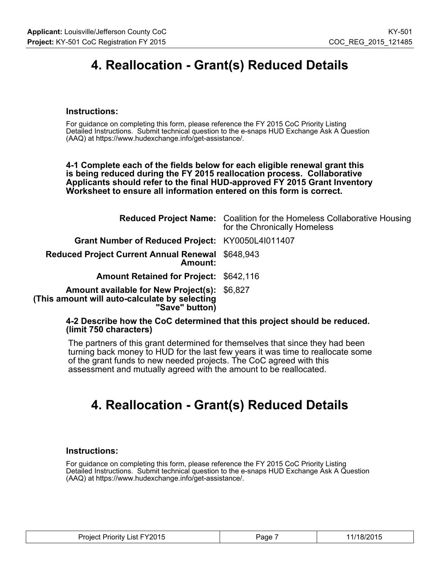### **4. Reallocation - Grant(s) Reduced Details**

#### **Instructions:**

For guidance on completing this form, please reference the FY 2015 CoC Priority Listing Detailed Instructions. Submit technical question to the e-snaps HUD Exchange Ask A Question (AAQ) at https://www.hudexchange.info/get-assistance/.

**4-1 Complete each of the fields below for each eligible renewal grant this is being reduced during the FY 2015 reallocation process. Collaborative Applicants should refer to the final HUD-approved FY 2015 Grant Inventory Worksheet to ensure all information entered on this form is correct.**

|                                                                                                                        | <b>Reduced Project Name:</b> Coalition for the Homeless Collaborative Housing<br>for the Chronically Homeless |
|------------------------------------------------------------------------------------------------------------------------|---------------------------------------------------------------------------------------------------------------|
| Grant Number of Reduced Project: KY0050L4l011407                                                                       |                                                                                                               |
| <b>Reduced Project Current Annual Renewal \$648,943</b><br>Amount:                                                     |                                                                                                               |
| <b>Amount Retained for Project: \$642,116</b>                                                                          |                                                                                                               |
| <b>Amount available for New Project(s): \$6,827</b><br>(This amount will auto-calculate by selecting<br>"Save" button) |                                                                                                               |

#### **4-2 Describe how the CoC determined that this project should be reduced. (limit 750 characters)**

The partners of this grant determined for themselves that since they had been turning back money to HUD for the last few years it was time to reallocate some of the grant funds to new needed projects. The CoC agreed with this assessment and mutually agreed with the amount to be reallocated.

### **4. Reallocation - Grant(s) Reduced Details**

#### **Instructions:**

For guidance on completing this form, please reference the FY 2015 CoC Priority Listing Detailed Instructions. Submit technical question to the e-snaps HUD Exchange Ask A Question (AAQ) at https://www.hudexchange.info/get-assistance/.

| Project Priority List FY2015 | ⊇aqe | 11/18/2015 |
|------------------------------|------|------------|
|------------------------------|------|------------|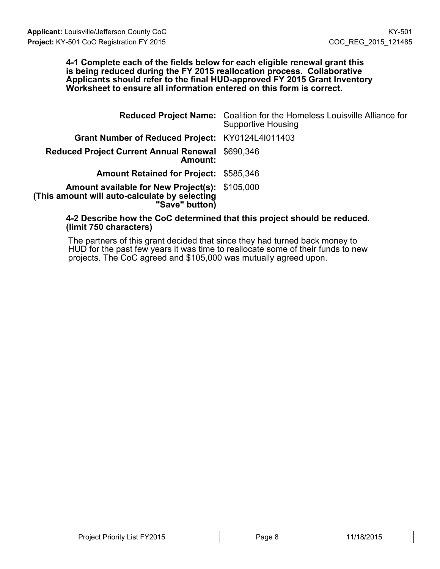#### **4-1 Complete each of the fields below for each eligible renewal grant this is being reduced during the FY 2015 reallocation process. Collaborative Applicants should refer to the final HUD-approved FY 2015 Grant Inventory Worksheet to ensure all information entered on this form is correct.**

|                                                                                                                          | <b>Reduced Project Name:</b> Coalition for the Homeless Louisville Alliance for<br>Supportive Housing |
|--------------------------------------------------------------------------------------------------------------------------|-------------------------------------------------------------------------------------------------------|
| Grant Number of Reduced Project: KY0124L41011403                                                                         |                                                                                                       |
| <b>Reduced Project Current Annual Renewal \$690,346</b><br>Amount:                                                       |                                                                                                       |
| <b>Amount Retained for Project: \$585,346</b>                                                                            |                                                                                                       |
| <b>Amount available for New Project(s): \$105,000</b><br>(This amount will auto-calculate by selecting<br>"Save" button) |                                                                                                       |
|                                                                                                                          |                                                                                                       |

#### **4-2 Describe how the CoC determined that this project should be reduced. (limit 750 characters)**

The partners of this grant decided that since they had turned back money to HUD for the past few years it was time to reallocate some of their funds to new projects. The CoC agreed and \$105,000 was mutually agreed upon.

| Project Priority List FY2015 | Page 8 | /18/2015 |
|------------------------------|--------|----------|
|------------------------------|--------|----------|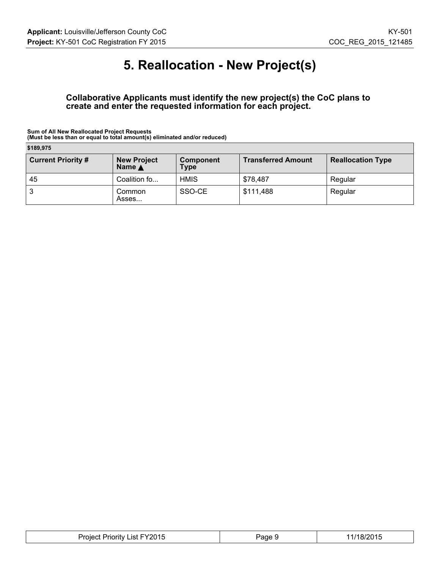### **5. Reallocation - New Project(s)**

### **Collaborative Applicants must identify the new project(s) the CoC plans to create and enter the requested information for each project.**

**Sum of All New Reallocated Project Requests**

**(Must be less than or equal to total amount(s) eliminated and/or reduced)**

| \$189,975                 |                                   |                          |                           |                          |  |  |
|---------------------------|-----------------------------------|--------------------------|---------------------------|--------------------------|--|--|
| <b>Current Priority #</b> | <b>New Project</b><br><b>Name</b> | <b>Component</b><br>Type | <b>Transferred Amount</b> | <b>Reallocation Type</b> |  |  |
| 45                        | Coalition fo                      | <b>HMIS</b>              | \$78,487                  | Regular                  |  |  |
| 3                         | Common<br>Asses                   | SSO-CE                   | \$111,488                 | Regular                  |  |  |

| Project Priority List FY2015 | Page ? | 11/18/2015 |
|------------------------------|--------|------------|
|------------------------------|--------|------------|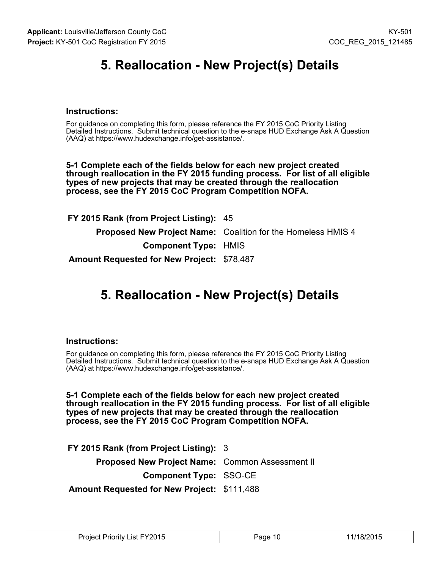### **5. Reallocation - New Project(s) Details**

#### **Instructions:**

For guidance on completing this form, please reference the FY 2015 CoC Priority Listing Detailed Instructions. Submit technical question to the e-snaps HUD Exchange Ask A Question (AAQ) at https://www.hudexchange.info/get-assistance/.

**5-1 Complete each of the fields below for each new project created through reallocation in the FY 2015 funding process. For list of all eligible types of new projects that may be created through the reallocation process, see the FY 2015 CoC Program Competition NOFA.**

| FY 2015 Rank (from Project Listing): 45           |                                                                     |
|---------------------------------------------------|---------------------------------------------------------------------|
|                                                   | <b>Proposed New Project Name:</b> Coalition for the Homeless HMIS 4 |
| <b>Component Type: HMIS</b>                       |                                                                     |
| <b>Amount Requested for New Project: \$78,487</b> |                                                                     |

### **5. Reallocation - New Project(s) Details**

### **Instructions:**

For guidance on completing this form, please reference the FY 2015 CoC Priority Listing Detailed Instructions. Submit technical question to the e-snaps HUD Exchange Ask A Question (AAQ) at https://www.hudexchange.info/get-assistance/.

**5-1 Complete each of the fields below for each new project created through reallocation in the FY 2015 funding process. For list of all eligible types of new projects that may be created through the reallocation process, see the FY 2015 CoC Program Competition NOFA.**

**FY 2015 Rank (from Project Listing):** 3 **Proposed New Project Name:** Common Assessment II **Component Type:** SSO-CE **Amount Requested for New Project:** \$111,488

| .ıst<br>$\boldsymbol{\mathcal{L}}$<br>----<br>. TOIP <sub>E</sub><br>TIOTILV<br>. . | ⊣וז | . . |
|-------------------------------------------------------------------------------------|-----|-----|
|                                                                                     |     |     |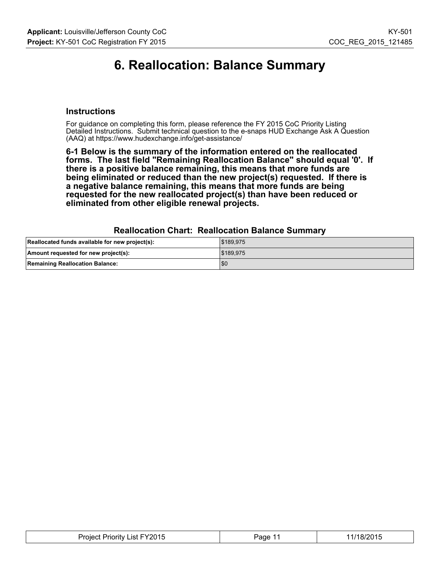### **6. Reallocation: Balance Summary**

#### **Instructions**

For guidance on completing this form, please reference the FY 2015 CoC Priority Listing Detailed Instructions. Submit technical question to the e-snaps HUD Exchange Ask A Question (AAQ) at https://www.hudexchange.info/get-assistance/

**6-1 Below is the summary of the information entered on the reallocated forms. The last field "Remaining Reallocation Balance" should equal '0'. If there is a positive balance remaining, this means that more funds are being eliminated or reduced than the new project(s) requested. If there is a negative balance remaining, this means that more funds are being requested for the new reallocated project(s) than have been reduced or eliminated from other eligible renewal projects.**

| Reallocated funds available for new project(s): | \$189.975 |
|-------------------------------------------------|-----------|
| Amount requested for new project(s):            | \$189,975 |
| <b>Remaining Reallocation Balance:</b>          | \$0       |

#### **Reallocation Chart: Reallocation Balance Summary**

| Project Priority List FY2015 | Page 11 | 11/18/2015 |
|------------------------------|---------|------------|
|------------------------------|---------|------------|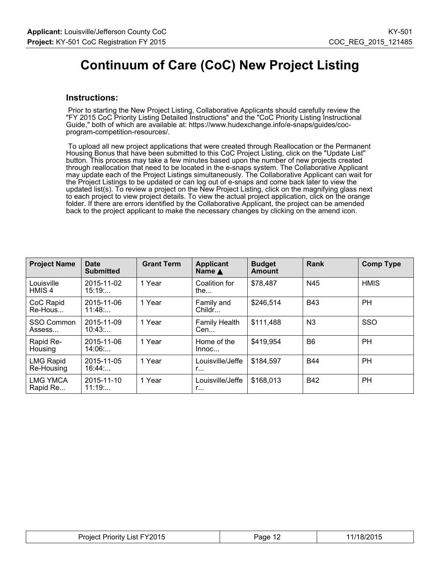### **Continuum of Care (CoC) New Project Listing**

#### **Instructions:**

 Prior to starting the New Project Listing, Collaborative Applicants should carefully review the "FY 2015 CoC Priority Listing Detailed Instructions" and the "CoC Priority Listing Instructional Guide," both of which are available at: https://www.hudexchange.info/e-snaps/guides/cocprogram-competition-resources/.

 To upload all new project applications that were created through Reallocation or the Permanent Housing Bonus that have been submitted to this CoC Project Listing, click on the "Update List" button. This process may take a few minutes based upon the number of new projects created through reallocation that need to be located in the e-snaps system. The Collaborative Applicant may update each of the Project Listings simultaneously. The Collaborative Applicant can wait for the Project Listings to be updated or can log out of e-snaps and come back later to view the updated list(s). To review a project on the New Project Listing, click on the magnifying glass next to each project to view project details. To view the actual project application, click on the orange folder. If there are errors identified by the Collaborative Applicant, the project can be amended back to the project applicant to make the necessary changes by clicking on the amend icon.

| <b>Project Name</b>             | Date<br><b>Submitted</b> | <b>Grant Term</b> | <b>Applicant</b><br><b>Name</b>  | <b>Budget</b><br><b>Amount</b> | Rank           | <b>Comp Type</b> |
|---------------------------------|--------------------------|-------------------|----------------------------------|--------------------------------|----------------|------------------|
| Louisville<br>HMIS <sub>4</sub> | 2015-11-02<br>15:19      | 1 Year            | Coalition for<br>the             | \$78,487                       | N45            | <b>HMIS</b>      |
| CoC Rapid<br>Re-Hous            | 2015-11-06<br>11:48      | 1 Year            | Family and<br>Childr             | \$246,514                      | <b>B43</b>     | <b>PH</b>        |
| SSO Common<br>Assess            | 2015-11-09<br>10:43      | 1 Year            | <b>Family Health</b><br>Cen      | \$111,488                      | N <sub>3</sub> | SSO              |
| Rapid Re-<br>Housing            | 2015-11-06<br>14:06      | 1 Year            | Home of the<br>Innoc             | \$419,954                      | B <sub>6</sub> | <b>PH</b>        |
| <b>LMG Rapid</b><br>Re-Housing  | 2015-11-05<br>16:44      | 1 Year            | Louisville/Jeffe<br>$r_{\cdots}$ | \$184,597                      | <b>B44</b>     | <b>PH</b>        |
| <b>LMG YMCA</b><br>Rapid Re     | 2015-11-10<br>11:19      | 1 Year            | Louisville/Jeffe<br>$r_{\cdots}$ | \$168,013                      | <b>B42</b>     | <b>PH</b>        |

| Project Priority List FY2015 | Page 12 | 11/18/2015 |
|------------------------------|---------|------------|
|------------------------------|---------|------------|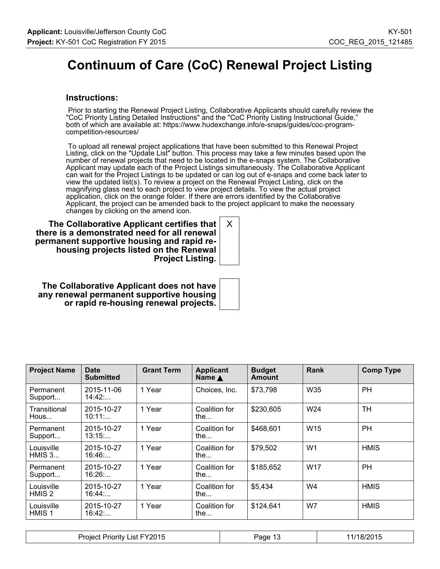### **Continuum of Care (CoC) Renewal Project Listing**

#### **Instructions:**

 Prior to starting the Renewal Project Listing, Collaborative Applicants should carefully review the "CoC Priority Listing Detailed Instructions" and the "CoC Priority Listing Instructional Guide," both of which are available at: https://www.hudexchange.info/e-snaps/guides/coc-programcompetition-resources/

 To upload all renewal project applications that have been submitted to this Renewal Project Listing, click on the "Update List" button. This process may take a few minutes based upon the number of renewal projects that need to be located in the e-snaps system. The Collaborative Applicant may update each of the Project Listings simultaneously. The Collaborative Applicant can wait for the Project Listings to be updated or can log out of e-snaps and come back later to view the updated list(s). To review a project on the Renewal Project Listing, click on the magnifying glass next to each project to view project details. To view the actual project application, click on the orange folder. If there are errors identified by the Collaborative Applicant, the project can be amended back to the project applicant to make the necessary changes by clicking on the amend icon.

X

**The Collaborative Applicant certifies that there is a demonstrated need for all renewal permanent supportive housing and rapid rehousing projects listed on the Renewal Project Listing.**

**The Collaborative Applicant does not have any renewal permanent supportive housing or rapid re-housing renewal projects.**

| <b>Project Name</b>             | <b>Date</b><br><b>Submitted</b> | <b>Grant Term</b> | <b>Applicant</b><br><b>Name</b> | <b>Budget</b><br><b>Amount</b> | Rank            | <b>Comp Type</b> |
|---------------------------------|---------------------------------|-------------------|---------------------------------|--------------------------------|-----------------|------------------|
| Permanent<br>Support            | 2015-11-06<br>14.42             | 1 Year            | Choices, Inc.                   | \$73,798                       | <b>W35</b>      | <b>PH</b>        |
| Transitional<br>Hous            | 2015-10-27<br>10:11             | 1 Year            | Coalition for<br>the            | \$230,605                      | W24             | <b>TH</b>        |
| Permanent<br>Support            | 2015-10-27<br>13:15             | 1 Year            | Coalition for<br>the            | \$468,601                      | W15             | <b>PH</b>        |
| Louisville<br><b>HMIS 3</b>     | 2015-10-27<br>16:46             | 1 Year            | Coalition for<br>the            | \$79,502                       | W <sub>1</sub>  | <b>HMIS</b>      |
| Permanent<br>Support            | 2015-10-27<br>16:26             | 1 Year            | Coalition for<br>the            | \$185,652                      | W <sub>17</sub> | <b>PH</b>        |
| Louisville<br>HMIS <sub>2</sub> | 2015-10-27<br>16:44             | 1 Year            | Coalition for<br>the            | \$5,434                        | W <sub>4</sub>  | <b>HMIS</b>      |
| Louisville<br>HMIS <sub>1</sub> | 2015-10-27<br>16:42             | 1 Year            | Coalition for<br>the            | \$124,641                      | W7              | <b>HMIS</b>      |

| <b>Project Priority List FY2015</b> | Page<br>ں ا | /18/2015 |
|-------------------------------------|-------------|----------|
|-------------------------------------|-------------|----------|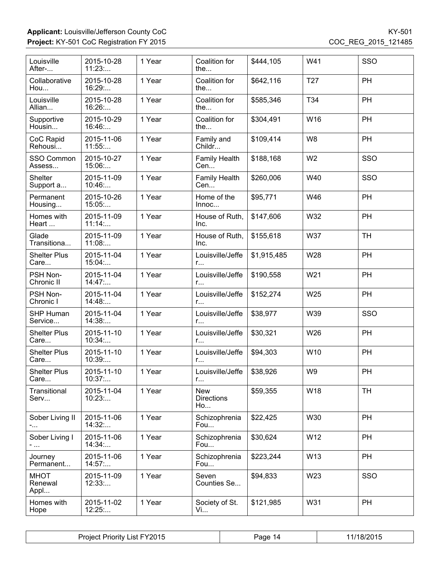| Louisville<br>After-           | 2015-10-28<br>11:23  | 1 Year | Coalition for<br>the                  | \$444,105   | W41             | SSO       |
|--------------------------------|----------------------|--------|---------------------------------------|-------------|-----------------|-----------|
| Collaborative<br>Hou           | 2015-10-28<br>16:29  | 1 Year | Coalition for<br>the                  | \$642,116   | T <sub>27</sub> | PH        |
| Louisville<br>Allian           | 2015-10-28<br>16:26  | 1 Year | Coalition for<br>the                  | \$585,346   | T34             | <b>PH</b> |
| Supportive<br>Housin           | 2015-10-29<br>16:46  | 1 Year | Coalition for<br>the                  | \$304,491   | W16             | <b>PH</b> |
| CoC Rapid<br>Rehousi           | 2015-11-06<br>11:55  | 1 Year | Family and<br>Childr                  | \$109,414   | W8              | <b>PH</b> |
| SSO Common<br>Assess           | 2015-10-27<br>15:06  | 1 Year | <b>Family Health</b><br>Cen           | \$188,168   | W <sub>2</sub>  | SSO       |
| Shelter<br>Support a           | 2015-11-09<br>10:46  | 1 Year | <b>Family Health</b><br>Cen           | \$260,006   | W40             | SSO       |
| Permanent<br>Housing           | 2015-10-26<br>15:05  | 1 Year | Home of the<br>Innoc                  | \$95,771    | W46             | <b>PH</b> |
| Homes with<br>Heart            | 2015-11-09<br>11:14  | 1 Year | House of Ruth,<br>Inc.                | \$147,606   | W32             | <b>PH</b> |
| Glade<br>Transitiona           | 2015-11-09<br>11:08  | 1 Year | House of Ruth,<br>Inc.                | \$155,618   | <b>W37</b>      | <b>TH</b> |
| <b>Shelter Plus</b><br>Care    | 2015-11-04<br>15:04: | 1 Year | Louisville/Jeffe<br>r                 | \$1,915,485 | W28             | <b>PH</b> |
| PSH Non-<br>Chronic II         | 2015-11-04<br>14:47  | 1 Year | Louisville/Jeffe<br>r                 | \$190,558   | W21             | <b>PH</b> |
| PSH Non-<br>Chronic I          | 2015-11-04<br>14:48  | 1 Year | Louisville/Jeffe<br>r                 | \$152,274   | W25             | <b>PH</b> |
| SHP Human<br>Service           | 2015-11-04<br>14:38  | 1 Year | Louisville/Jeffe<br>r                 | \$38,977    | W39             | SSO       |
| <b>Shelter Plus</b><br>Care    | 2015-11-10<br>10:34  | 1 Year | Louisville/Jeffe<br>r                 | \$30,321    | W26             | <b>PH</b> |
| <b>Shelter Plus</b><br>Care    | 2015-11-10<br>10:39  | 1 Year | Louisville/Jeffe<br>r                 | \$94,303    | W10             | <b>PH</b> |
| <b>Shelter Plus</b><br>Care    | 2015-11-10<br>10:37  | 1 Year | Louisville/Jeffe<br>r                 | \$38,926    | W9              | PH        |
| Transitional<br>Serv           | 2015-11-04<br>10:23  | 1 Year | <b>New</b><br><b>Directions</b><br>Ho | \$59,355    | W18             | <b>TH</b> |
| Sober Living II<br>$\sim$      | 2015-11-06<br>14:32  | 1 Year | Schizophrenia<br>Fou                  | \$22,425    | W30             | <b>PH</b> |
| Sober Living I<br>$\sim$       | 2015-11-06<br>14:34  | 1 Year | Schizophrenia<br>Fou                  | \$30,624    | W12             | <b>PH</b> |
| Journey<br>Permanent           | 2015-11-06<br>14:57  | 1 Year | Schizophrenia<br>Fou                  | \$223,244   | W13             | <b>PH</b> |
| <b>MHOT</b><br>Renewal<br>Appl | 2015-11-09<br>12:33  | 1 Year | Seven<br>Counties Se                  | \$94,833    | W23             | SSO       |
| Homes with<br>Hope             | 2015-11-02<br>12:25  | 1 Year | Society of St.<br>Vi                  | \$121,985   | W31             | PH        |

| Priority List FY2015<br>Project | Page | טו בטויט |
|---------------------------------|------|----------|
|---------------------------------|------|----------|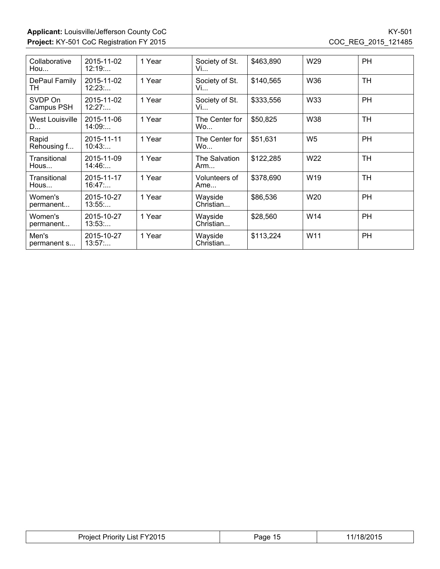| Collaborative<br>Hou        | 2015-11-02<br>12:19 | 1 Year | Society of St.<br>Vi | \$463,890 | W29             | <b>PH</b> |
|-----------------------------|---------------------|--------|----------------------|-----------|-----------------|-----------|
| DePaul Family<br>TH         | 2015-11-02<br>12:23 | 1 Year | Society of St.<br>Vi | \$140,565 | W36             | <b>TH</b> |
| SVDP On<br>Campus PSH       | 2015-11-02<br>12:27 | 1 Year | Society of St.<br>Vi | \$333,556 | W33             | PH        |
| <b>West Louisville</b><br>D | 2015-11-06<br>14:09 | 1 Year | The Center for<br>Wo | \$50,825  | W38             | <b>TH</b> |
| Rapid<br>Rehousing f        | 2015-11-11<br>10:43 | 1 Year | The Center for<br>Wo | \$51,631  | W <sub>5</sub>  | <b>PH</b> |
| Transitional<br>Hous        | 2015-11-09<br>14:46 | 1 Year | The Salvation<br>Arm | \$122,285 | W22             | <b>TH</b> |
| Transitional<br>Hous        | 2015-11-17<br>16:47 | 1 Year | Volunteers of<br>Ame | \$378,690 | W <sub>19</sub> | <b>TH</b> |
| Women's<br>permanent        | 2015-10-27<br>13:55 | 1 Year | Wayside<br>Christian | \$86,536  | W20             | PH        |
| Women's<br>permanent        | 2015-10-27<br>13:53 | 1 Year | Wayside<br>Christian | \$28,560  | W14             | <b>PH</b> |
| Men's<br>permanent s        | 2015-10-27<br>13:57 | 1 Year | Wayside<br>Christian | \$113,224 | W11             | <b>PH</b> |

| .<br>Y2015<br>Jronr<br>_ıst<br>'riority<br>nier<br>_<br>$\sim$ $\sim$<br>__ | Page.<br>$\sim$ | . .<br>n<br>. . |
|-----------------------------------------------------------------------------|-----------------|-----------------|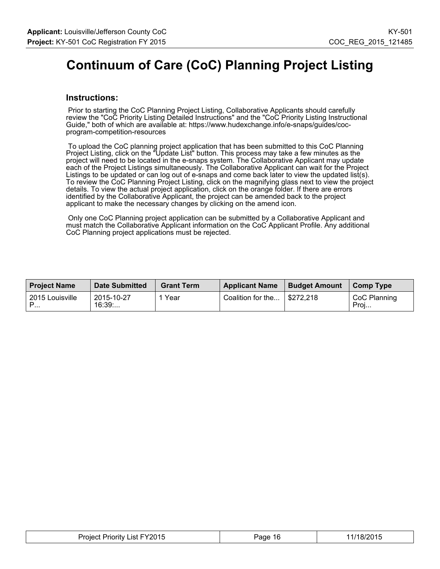### **Continuum of Care (CoC) Planning Project Listing**

#### **Instructions:**

 Prior to starting the CoC Planning Project Listing, Collaborative Applicants should carefully review the "CoC Priority Listing Detailed Instructions" and the "CoC Priority Listing Instructional Guide," both of which are available at: https://www.hudexchange.info/e-snaps/guides/cocprogram-competition-resources

 To upload the CoC planning project application that has been submitted to this CoC Planning Project Listing, click on the "Update List" button. This process may take a few minutes as the project will need to be located in the e-snaps system. The Collaborative Applicant may update each of the Project Listings simultaneously. The Collaborative Applicant can wait for the Project Listings to be updated or can log out of e-snaps and come back later to view the updated list(s). To review the CoC Planning Project Listing, click on the magnifying glass next to view the project details. To view the actual project application, click on the orange folder. If there are errors identified by the Collaborative Applicant, the project can be amended back to the project applicant to make the necessary changes by clicking on the amend icon.

 Only one CoC Planning project application can be submitted by a Collaborative Applicant and must match the Collaborative Applicant information on the CoC Applicant Profile. Any additional CoC Planning project applications must be rejected.

| <b>Project Name</b>  | <b>Date Submitted</b> | <b>Grant Term</b> | <b>Applicant Name</b> | <b>Budget Amount</b> | <b>Comp Type</b>     |
|----------------------|-----------------------|-------------------|-----------------------|----------------------|----------------------|
| 2015 Louisville<br>. | 2015-10-27<br>16:39:  | Year              | Coalition for the     | l \$272.218          | CoC Planning<br>Proj |

| . . | л.<br>ıst<br>me<br>ч.<br>. .<br>. | 1 L<br>ане | . . |
|-----|-----------------------------------|------------|-----|
|-----|-----------------------------------|------------|-----|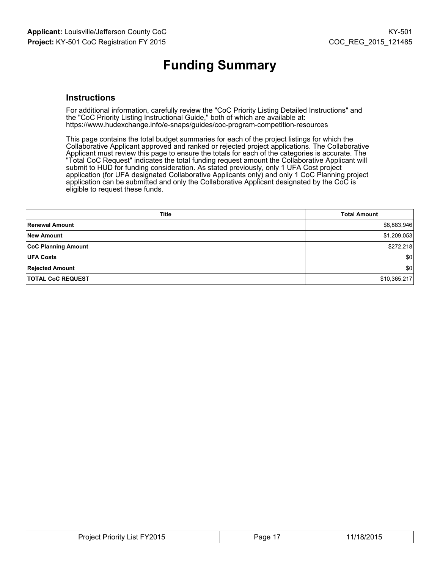# **Funding Summary**

#### **Instructions**

For additional information, carefully review the "CoC Priority Listing Detailed Instructions" and the "CoC Priority Listing Instructional Guide," both of which are available at: https://www.hudexchange.info/e-snaps/guides/coc-program-competition-resources

This page contains the total budget summaries for each of the project listings for which the Collaborative Applicant approved and ranked or rejected project applications. The Collaborative Applicant must review this page to ensure the totals for each of the categories is accurate. The "Total CoC Request" indicates the total funding request amount the Collaborative Applicant will submit to HUD for funding consideration. As stated previously, only 1 UFA Cost project application (for UFA designated Collaborative Applicants only) and only 1 CoC Planning project application can be submitted and only the Collaborative Applicant designated by the CoC is eligible to request these funds.

| <b>Title</b>               | <b>Total Amount</b> |
|----------------------------|---------------------|
| Renewal Amount             | \$8,883,946         |
| <b>New Amount</b>          | \$1,209,053         |
| <b>CoC Planning Amount</b> | \$272,218           |
| <b>UFA Costs</b>           | \$0                 |
| <b>Rejected Amount</b>     | \$0                 |
| <b>TOTAL CoC REQUEST</b>   | \$10,365,217        |

| Y2015 <sup>-</sup><br>.ist<br><b>Project</b><br>ane,<br>'riority<br>. וחי<br>ט וט: |
|------------------------------------------------------------------------------------|
|------------------------------------------------------------------------------------|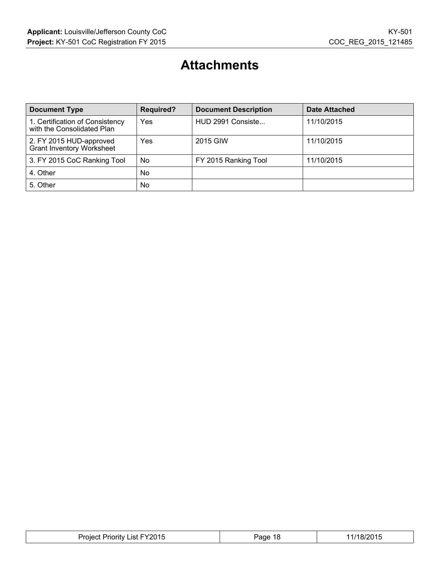$\overline{\mathbb{L}}$ 

# **Attachments**

| <b>Document Type</b>                                          | <b>Required?</b> | <b>Document Description</b> | <b>Date Attached</b> |
|---------------------------------------------------------------|------------------|-----------------------------|----------------------|
| 1. Certification of Consistency<br>with the Consolidated Plan | Yes              | HUD 2991 Consiste           | 11/10/2015           |
| 2. FY 2015 HUD-approved<br>Grant Inventory Worksheet          | Yes              | 2015 GIW                    | 11/10/2015           |
| 3. FY 2015 CoC Ranking Tool                                   | <b>No</b>        | FY 2015 Ranking Tool        | 11/10/2015           |
| 4. Other                                                      | <b>No</b>        |                             |                      |
| 5. Other                                                      | No               |                             |                      |

| Project Priority List FY2015 | Page<br>1ბ | 11/18/2015 |
|------------------------------|------------|------------|
|------------------------------|------------|------------|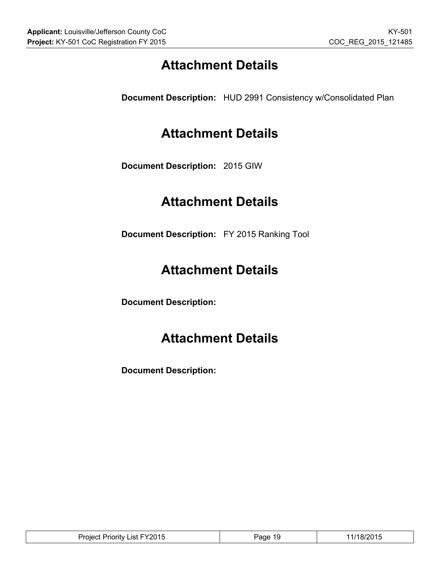### **Attachment Details**

**Document Description:** HUD 2991 Consistency w/Consolidated Plan

### **Attachment Details**

**Document Description:** 2015 GIW

# **Attachment Details**

**Document Description:** FY 2015 Ranking Tool

# **Attachment Details**

**Document Description:**

# **Attachment Details**

**Document Description:**

| List FY2015<br>-Proiect Priority L. | ade<br>. . | w |
|-------------------------------------|------------|---|
|                                     |            |   |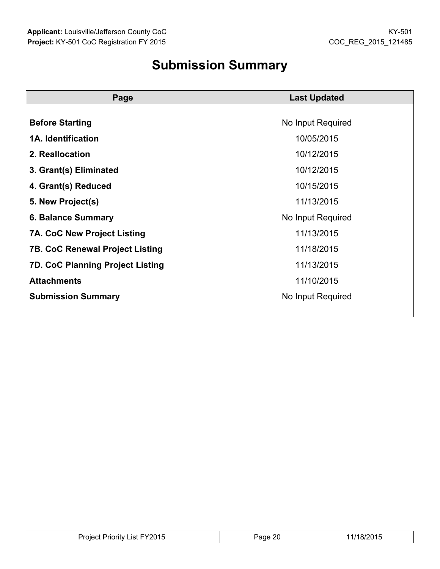# **Submission Summary**

| Page                                    | <b>Last Updated</b> |
|-----------------------------------------|---------------------|
|                                         |                     |
| <b>Before Starting</b>                  | No Input Required   |
| <b>1A. Identification</b>               | 10/05/2015          |
| 2. Reallocation                         | 10/12/2015          |
| 3. Grant(s) Eliminated                  | 10/12/2015          |
| 4. Grant(s) Reduced                     | 10/15/2015          |
| 5. New Project(s)                       | 11/13/2015          |
| <b>6. Balance Summary</b>               | No Input Required   |
| <b>7A. CoC New Project Listing</b>      | 11/13/2015          |
| <b>7B. CoC Renewal Project Listing</b>  | 11/18/2015          |
| <b>7D. CoC Planning Project Listing</b> | 11/13/2015          |
| <b>Attachments</b>                      | 11/10/2015          |
| <b>Submission Summary</b>               | No Input Required   |
|                                         |                     |

| Project Priority List FY2015 | -20<br>Page | 8/201<br>יפי<br>טוים. |
|------------------------------|-------------|-----------------------|
|------------------------------|-------------|-----------------------|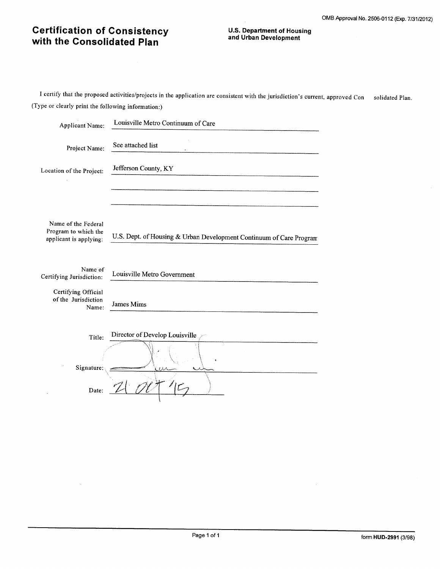# **Certification of Consistency**<br>with the Consolidated Plan

# **U.S. Department of Housing<br>and Urban Development**

I certify that the proposed activities/projects in the application are consistent with the jurisdiction's current, approved Con solidated Plan. (Type or clearly print the following information:)

| <b>Applicant Name:</b>                                                | Louisville Metro Continuum of Care                                  |
|-----------------------------------------------------------------------|---------------------------------------------------------------------|
| Project Name:                                                         | See attached list                                                   |
| Location of the Project:                                              | Jefferson County, KY                                                |
| Name of the Federal<br>Program to which the<br>applicant is applying: | U.S. Dept. of Housing & Urban Development Continuum of Care Program |
| Name of<br>Certifying Jurisdiction:                                   | Louisville Metro Government                                         |
| Certifying Official<br>of the Jurisdiction<br>Name:                   | James Mims                                                          |
| Title:<br>Signature:                                                  | Director of Develop Louisville                                      |
| Date:                                                                 |                                                                     |

 $\overline{\mathcal{L}}$ 

 $\bar{\lambda}$